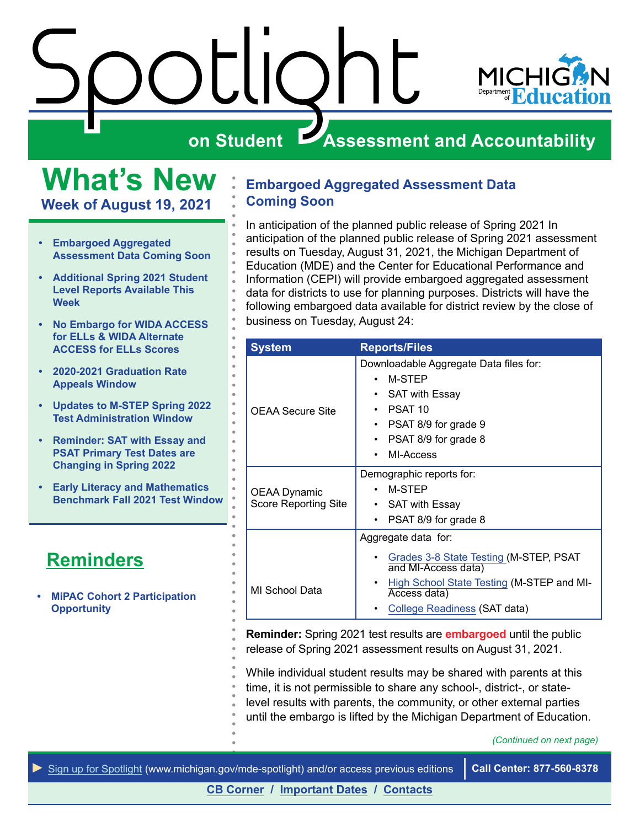<span id="page-0-0"></span>

**What's New Week of August 19, 2021**

- **• Embargoed Aggregated Assessment Data Coming Soon**
- **• [Additional Spring 2021 Student](#page-1-0)  [Level Reports Available This](#page-1-0)  [Week](#page-1-0)**
- **• [No Embargo for WIDA ACCESS](#page-1-0)  [for ELLs & WIDA Alternate](#page-1-0)  [ACCESS for ELLs Scores](#page-1-0)**
- **• [2020-2021 Graduation Rate](#page-1-0)  [Appeals Window](#page-1-0)**
- **• [Updates to M-STEP Spring 2022](#page-2-0)  [Test Administration Window](#page-2-0)**
- **• [Reminder: SAT with Essay and](#page-3-0)  [PSAT Primary Test Dates are](#page-3-0)  [Changing in Spring 2022](#page-3-0)**
- **• [Early Literacy and Mathematics](#page-3-0)  [Benchmark Fall 2021 Test Window](#page-3-0)**

# **Reminders**

**• [MiPAC Cohort 2 Participation](#page-4-0)  [Opportunity](#page-4-0)** 

### **Embargoed Aggregated Assessment Data Coming Soon**

In anticipation of the planned public release of Spring 2021 In anticipation of the planned public release of Spring 2021 assessment results on Tuesday, August 31, 2021, the Michigan Department of Education (MDE) and the Center for Educational Performance and Information (CEPI) will provide embargoed aggregated assessment data for districts to use for planning purposes. Districts will have the following embargoed data available for district review by the close of business on Tuesday, August 24:

| <b>System</b>                        | <b>Reports/Files</b>                                                                                                                                         |  |
|--------------------------------------|--------------------------------------------------------------------------------------------------------------------------------------------------------------|--|
| <b>OEAA Secure Site</b>              | Downloadable Aggregate Data files for:<br>M-STEP<br><b>SAT with Essay</b><br>PSAT <sub>10</sub><br>PSAT 8/9 for grade 9<br>PSAT 8/9 for grade 8<br>MI-Access |  |
| OEAA Dynamic<br>Score Reporting Site | Demographic reports for:<br>M-STEP<br><b>SAT with Essay</b><br>٠<br>PSAT 8/9 for grade 8                                                                     |  |
|                                      | Aggregate data for:                                                                                                                                          |  |
| MI School Data                       | Grades 3-8 State Testing (M-STEP, PSAT<br>and MI-Access data)<br>High School State Testing (M-STEP and MI-<br>Access data)                                   |  |
|                                      | College Readiness (SAT data)                                                                                                                                 |  |

**Reminder:** Spring 2021 test results are **embargoed** until the public release of Spring 2021 assessment results on August 31, 2021.

While individual student results may be shared with parents at this time, it is not permissible to share any school-, district-, or statelevel results with parents, the community, or other external parties until the embargo is lifted by the Michigan Department of Education.

*(Continued on next page)*

*►* [Sign up for Spotlight](https://public.govdelivery.com/accounts/MIMDE/subscriber/new) [\(www.michigan.gov/mde](www.michigan.gov/mde-spotlight)-spotlight) and/or access previous editions **Call Center: 877-560-8378**

**[CB Corner](#page-5-0) / [Important Dates](#page-7-0) / [Contacts](#page-8-0)**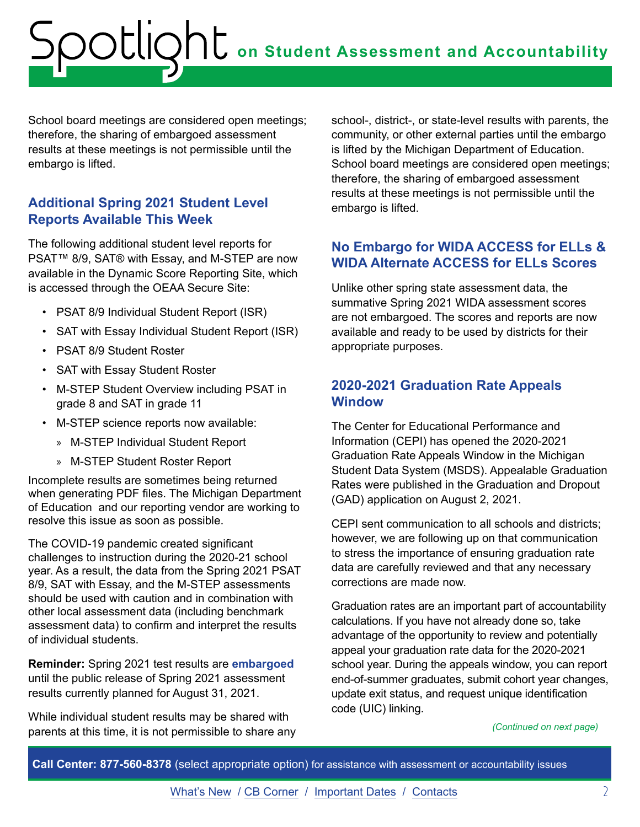<span id="page-1-0"></span>School board meetings are considered open meetings; therefore, the sharing of embargoed assessment results at these meetings is not permissible until the embargo is lifted.

### **Additional Spring 2021 Student Level Reports Available This Week**

The following additional student level reports for PSAT™ 8/9, SAT® with Essay, and M-STEP are now available in the Dynamic Score Reporting Site, which is accessed through the OEAA Secure Site:

- PSAT 8/9 Individual Student Report (ISR)
- SAT with Essay Individual Student Report (ISR)
- PSAT 8/9 Student Roster
- SAT with Essay Student Roster
- M-STEP Student Overview including PSAT in grade 8 and SAT in grade 11
- M-STEP science reports now available:
	- » M-STEP Individual Student Report
	- » M-STEP Student Roster Report

Incomplete results are sometimes being returned when generating PDF files. The Michigan Department of Education and our reporting vendor are working to resolve this issue as soon as possible.

The COVID-19 pandemic created significant challenges to instruction during the 2020-21 school year. As a result, the data from the Spring 2021 PSAT 8/9, SAT with Essay, and the M-STEP assessments should be used with caution and in combination with other local assessment data (including benchmark assessment data) to confirm and interpret the results of individual students.

**Reminder:** Spring 2021 test results are **embargoed** until the public release of Spring 2021 assessment results currently planned for August 31, 2021.

While individual student results may be shared with parents at this time, it is not permissible to share any

school-, district-, or state-level results with parents, the community, or other external parties until the embargo is lifted by the Michigan Department of Education. School board meetings are considered open meetings; therefore, the sharing of embargoed assessment results at these meetings is not permissible until the embargo is lifted.

## **No Embargo for WIDA ACCESS for ELLs & WIDA Alternate ACCESS for ELLs Scores**

Unlike other spring state assessment data, the summative Spring 2021 WIDA assessment scores are not embargoed. The scores and reports are now available and ready to be used by districts for their appropriate purposes.

### **2020-2021 Graduation Rate Appeals Window**

The Center for Educational Performance and Information (CEPI) has opened the 2020-2021 Graduation Rate Appeals Window in the Michigan Student Data System (MSDS). Appealable Graduation Rates were published in the Graduation and Dropout (GAD) application on August 2, 2021.

CEPI sent communication to all schools and districts; however, we are following up on that communication to stress the importance of ensuring graduation rate data are carefully reviewed and that any necessary corrections are made now.

Graduation rates are an important part of accountability calculations. If you have not already done so, take advantage of the opportunity to review and potentially appeal your graduation rate data for the 2020-2021 school year. During the appeals window, you can report end-of-summer graduates, submit cohort year changes, update exit status, and request unique identification code (UIC) linking.

*(Continued on next page)*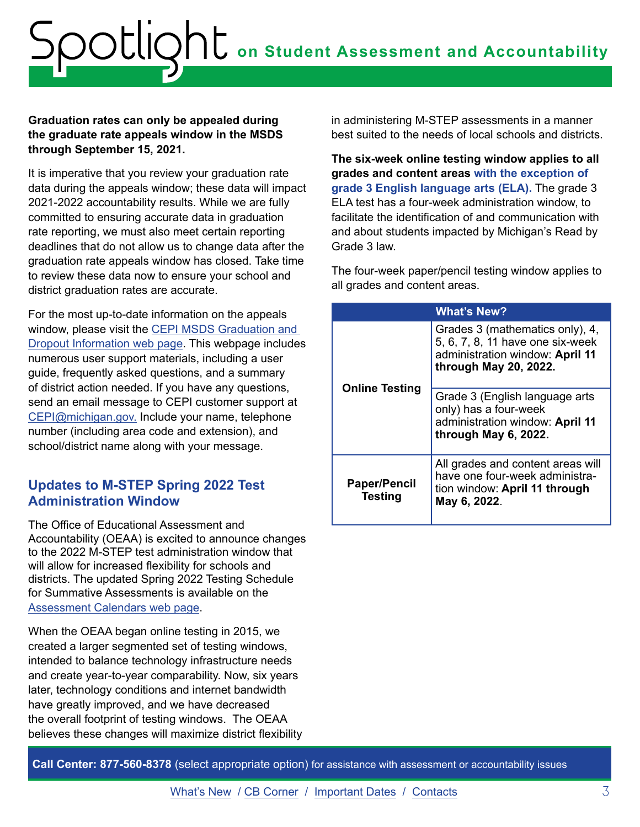#### <span id="page-2-0"></span>**Graduation rates can only be appealed during the graduate rate appeals window in the MSDS through September 15, 2021.**

It is imperative that you review your graduation rate data during the appeals window; these data will impact 2021-2022 accountability results. While we are fully committed to ensuring accurate data in graduation rate reporting, we must also meet certain reporting deadlines that do not allow us to change data after the graduation rate appeals window has closed. Take time to review these data now to ensure your school and district graduation rates are accurate.

For the most up-to-date information on the appeals window, please visit the [CEPI MSDS Graduation and](http://www.michigan.gov/cepi/0,1607,7-113-986_50502_56418---,00.html)  [Dropout Information web page.](http://www.michigan.gov/cepi/0,1607,7-113-986_50502_56418---,00.html) This webpage includes numerous user support materials, including a user guide, frequently asked questions, and a summary of district action needed. If you have any questions, send an email message to CEPI customer support at [CEPI@michigan.gov.](mailto:CEPI%40michigan.gov?subject=) Include your name, telephone number (including area code and extension), and school/district name along with your message.

#### **Updates to M-STEP Spring 2022 Test Administration Window**

The Office of Educational Assessment and Accountability (OEAA) is excited to announce changes to the 2022 M-STEP test administration window that will allow for increased flexibility for schools and districts. The updated Spring 2022 Testing Schedule for Summative Assessments is available on the Assessment Calendar[s web page.](https://www.michigan.gov/documents/mde/Testing_Schedule_for_Summative_Assessments_635008_7.pdf)

When the OEAA began online testing in 2015, we created a larger segmented set of testing windows, intended to balance technology infrastructure needs and create year-to-year comparability. Now, six years later, technology conditions and internet bandwidth have greatly improved, and we have decreased the overall footprint of testing windows. The OEAA believes these changes will maximize district flexibility in administering M-STEP assessments in a manner best suited to the needs of local schools and districts.

**The six-week online testing window applies to all grades and content areas with the exception of grade 3 English language arts (ELA).** The grade 3 ELA test has a four-week administration window, to facilitate the identification of and communication with and about students impacted by Michigan's Read by Grade 3 law.

The four-week paper/pencil testing window applies to all grades and content areas.

| <b>What's New?</b>                    |                                                                                                                                 |  |
|---------------------------------------|---------------------------------------------------------------------------------------------------------------------------------|--|
| <b>Online Testing</b>                 | Grades 3 (mathematics only), 4,<br>5, 6, 7, 8, 11 have one six-week<br>administration window: April 11<br>through May 20, 2022. |  |
|                                       | Grade 3 (English language arts<br>only) has a four-week<br>administration window: April 11<br>through May 6, 2022.              |  |
| <b>Paper/Pencil</b><br><b>Testing</b> | All grades and content areas will<br>have one four-week administra-<br>tion window: April 11 through<br>May 6, 2022.            |  |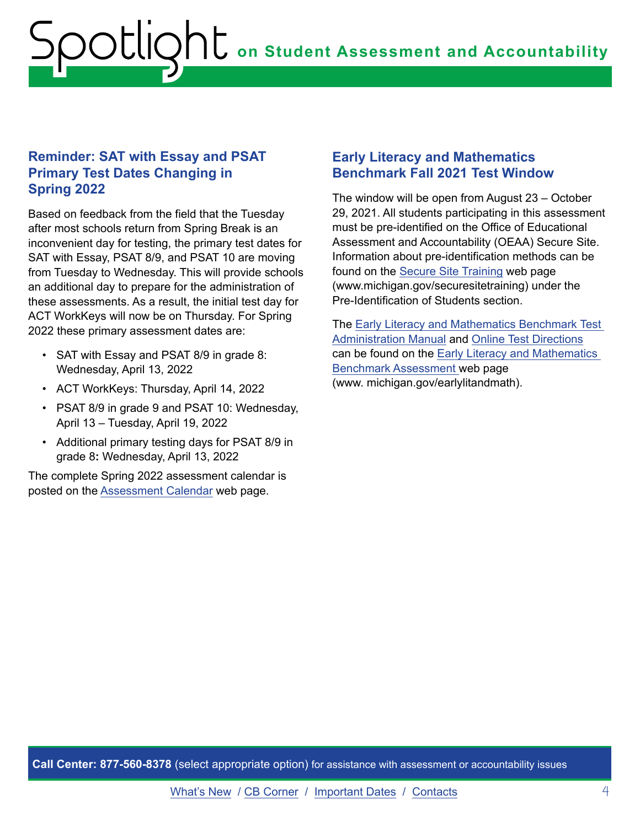### <span id="page-3-0"></span>**Reminder: SAT with Essay and PSAT Primary Test Dates Changing in Spring 2022**

Based on feedback from the field that the Tuesday after most schools return from Spring Break is an inconvenient day for testing, the primary test dates for SAT with Essay, PSAT 8/9, and PSAT 10 are moving from Tuesday to Wednesday. This will provide schools an additional day to prepare for the administration of these assessments. As a result, the initial test day for ACT WorkKeys will now be on Thursday. For Spring 2022 these primary assessment dates are:

- SAT with Essay and PSAT 8/9 in grade 8: Wednesday, April 13, 2022
- ACT WorkKeys: Thursday, April 14, 2022
- PSAT 8/9 in grade 9 and PSAT 10: Wednesday, April 13 – Tuesday, April 19, 2022
- Additional primary testing days for PSAT 8/9 in grade 8**:** Wednesday, April 13, 2022

The complete Spring 2022 assessment calendar is posted on the [Assessment Calendar](https://www.michigan.gov/mde/0,4615,7-140-22709_105605---,00.htmlttp://Assessment Calendar) web page.

#### **Early Literacy and Mathematics Benchmark Fall 2021 Test Window**

The window will be open from August 23 – October 29, 2021. All students participating in this assessment must be pre-identified on the Office of Educational Assessment and Accountability (OEAA) Secure Site. Information about pre-identification methods can be found on the [Secure Site Training](http://www.michigan.gov/securesitetraining) web page (www.michigan.gov/securesitetraining) under the Pre-Identification of Students section.

The [Early Literacy and Mathematics Benchmark Test](https://www.michigan.gov/documents/mde/Early_Literacy_and_Mathematics_TAM_663326_7.pdf)  [Administration Manual](https://www.michigan.gov/documents/mde/Early_Literacy_and_Mathematics_TAM_663326_7.pdf) and [Online Test Directions](https://www.michigan.gov/mde/0,4615,7-140-22709_63192-546541--,00.html) can be found on the [Early Literacy and Mathematics](https://www.michigan.gov/mde/0,4615,7-140-22709_63192---,00.html)  [Benchmark Assessment](https://www.michigan.gov/mde/0,4615,7-140-22709_63192---,00.html) web page (www. michigan.gov/earlylitandmath).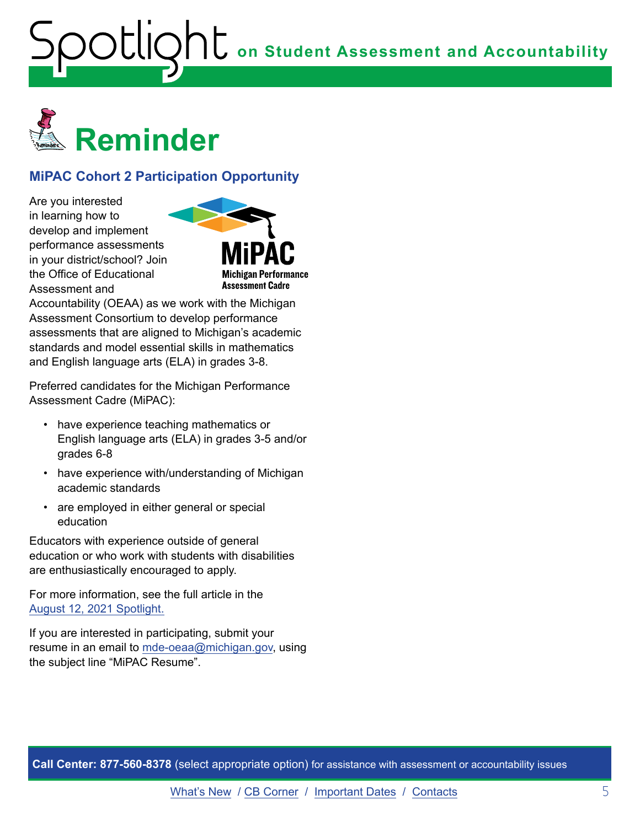<span id="page-4-0"></span>

## **MiPAC Cohort 2 Participation Opportunity**

Are you interested in learning how to develop and implement performance assessments in your district/school? Join the Office of Educational Assessment and



Accountability (OEAA) as we work with the Michigan Assessment Consortium to develop performance assessments that are aligned to Michigan's academic standards and model essential skills in mathematics and English language arts (ELA) in grades 3-8.

Preferred candidates for the Michigan Performance Assessment Cadre (MiPAC):

- have experience teaching mathematics or English language arts (ELA) in grades 3-5 and/or grades 6-8
- have experience with/understanding of Michigan academic standards
- are employed in either general or special education

Educators with experience outside of general education or who work with students with disabilities are enthusiastically encouraged to apply.

For more information, see the full article in the [August 12, 2021 Spotlight.](https://www.michigan.gov/documents/mde/Spotlight_8-12-21_732648_7.pdf)

If you are interested in participating, submit your resume in an email to [mde-oeaa@michigan.gov,](mailto:mde-oeaa%40michigan.gov?subject=MiPAC%20Resume) using the subject line "MiPAC Resume".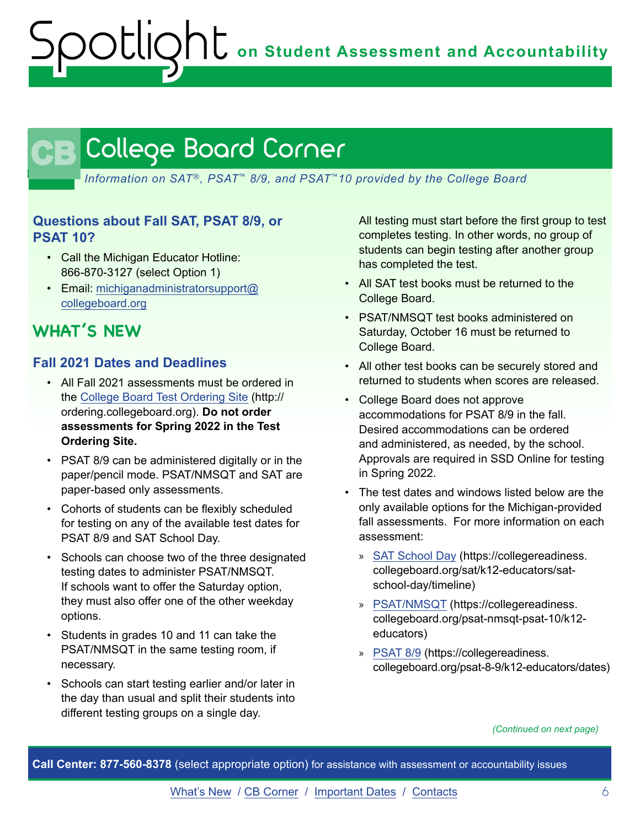# <span id="page-5-0"></span>CB

*Information on SAT*®*, PSAT*™ *8/9, and PSAT*™*10 provided by the College Board*

#### **Questions about Fall SAT, PSAT 8/9, or PSAT 10?**

- Call the Michigan Educator Hotline: 866-870-3127 (select Option 1)
- Email: [michiganadministratorsupport@](mailto:michiganadministratorsupport%40collegeboard.org?subject=) [collegeboard.org](mailto:michiganadministratorsupport%40collegeboard.org?subject=)

# **WHAT'S NEW**

#### **Fall 2021 Dates and Deadlines**

- All Fall 2021 assessments must be ordered in the [College Board Test Ordering Site](http://ordering.collegeboard.org) (http:// ordering.collegeboard.org). **Do not order assessments for Spring 2022 in the Test Ordering Site.**
- PSAT 8/9 can be administered digitally or in the paper/pencil mode. PSAT/NMSQT and SAT are paper-based only assessments.
- Cohorts of students can be flexibly scheduled for testing on any of the available test dates for PSAT 8/9 and SAT School Day.
- Schools can choose two of the three designated testing dates to administer PSAT/NMSQT. If schools want to offer the Saturday option, they must also offer one of the other weekday options.
- Students in grades 10 and 11 can take the PSAT/NMSQT in the same testing room, if necessary.
- Schools can start testing earlier and/or later in the day than usual and split their students into different testing groups on a single day.

All testing must start before the first group to test completes testing. In other words, no group of students can begin testing after another group has completed the test.

- All SAT test books must be returned to the College Board.
- PSAT/NMSQT test books administered on Saturday, October 16 must be returned to College Board.
- All other test books can be securely stored and returned to students when scores are released.
- College Board does not approve accommodations for PSAT 8/9 in the fall. Desired accommodations can be ordered and administered, as needed, by the school. Approvals are required in SSD Online for testing in Spring 2022.
- The test dates and windows listed below are the only available options for the Michigan-provided fall assessments. For more information on each assessment:
	- » [SAT School Day](https://collegereadiness.collegeboard.org/sat/k12-educators/sat-school-day/timeline) (https://collegereadiness. collegeboard.org/sat/k12-educators/satschool-day/timeline)
	- » [PSAT/NMSQT](https://collegereadiness.collegeboard.org/psat-nmsqt-psat-10/k12-educators) (https://collegereadiness. collegeboard.org/psat-nmsqt-psat-10/k12 educators)
	- » [PSAT 8/9](https://collegereadiness.collegeboard.org/psat-8-9/k12-educators/dates) (https://collegereadiness. collegeboard.org/psat-8-9/k12-educators/dates)

*(Continued on next page)*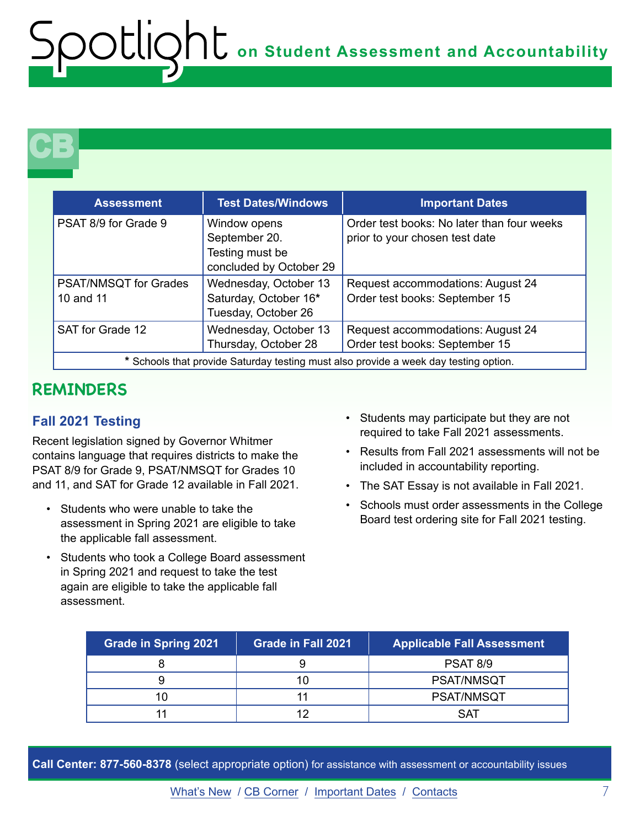# **CB**

| <b>Assessment</b>                                                                    | <b>Test Dates/Windows</b>                                                   | <b>Important Dates</b>                                                       |
|--------------------------------------------------------------------------------------|-----------------------------------------------------------------------------|------------------------------------------------------------------------------|
| PSAT 8/9 for Grade 9                                                                 | Window opens<br>September 20.<br>Testing must be<br>concluded by October 29 | Order test books: No later than four weeks<br>prior to your chosen test date |
| <b>PSAT/NMSQT</b> for Grades<br>10 and 11                                            | Wednesday, October 13<br>Saturday, October 16*<br>Tuesday, October 26       | Request accommodations: August 24<br>Order test books: September 15          |
| SAT for Grade 12                                                                     | Wednesday, October 13<br>Thursday, October 28                               | Request accommodations: August 24<br>Order test books: September 15          |
| * Schools that provide Saturday testing must also provide a week day testing option. |                                                                             |                                                                              |

# **REMINDERS**

## **Fall 2021 Testing**

Recent legislation signed by Governor Whitmer contains language that requires districts to make the PSAT 8/9 for Grade 9, PSAT/NMSQT for Grades 10 and 11, and SAT for Grade 12 available in Fall 2021.

- Students who were unable to take the assessment in Spring 2021 are eligible to take the applicable fall assessment.
- Students who took a College Board assessment in Spring 2021 and request to take the test again are eligible to take the applicable fall assessment.
- Students may participate but they are not required to take Fall 2021 assessments.
- Results from Fall 2021 assessments will not be included in accountability reporting.
- The SAT Essay is not available in Fall 2021.
- Schools must order assessments in the College Board test ordering site for Fall 2021 testing.

| <b>Grade in Spring 2021</b> | <b>Grade in Fall 2021</b> | <b>Applicable Fall Assessment</b> |
|-----------------------------|---------------------------|-----------------------------------|
|                             |                           | PSAT 8/9                          |
|                             |                           | <b>PSAT/NMSQT</b>                 |
|                             |                           | <b>PSAT/NMSQT</b>                 |
|                             |                           | S A T                             |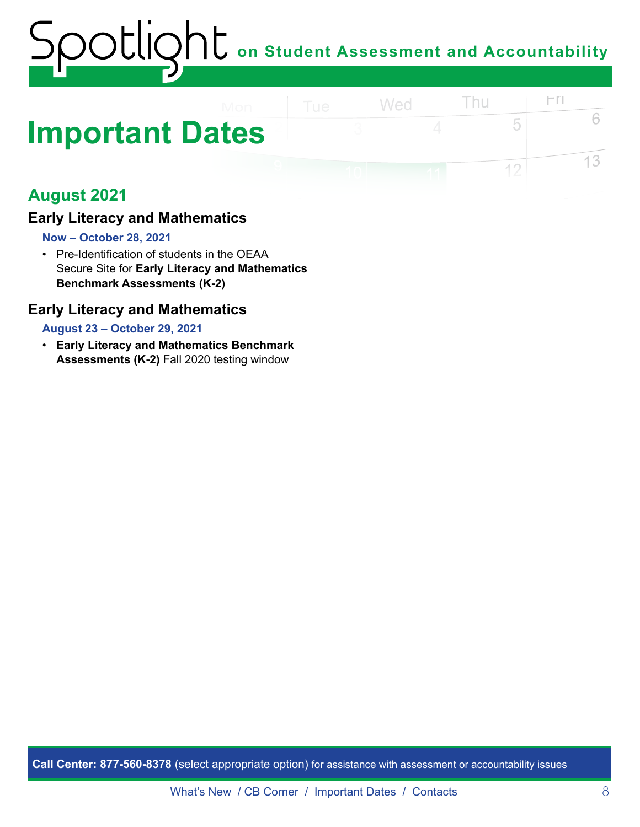# <span id="page-7-0"></span>**Important Dates**

# **August 2021**

## **Early Literacy and Mathematics**

#### **Now – October 28, 2021**

• Pre-Identification of students in the OEAA Secure Site for **Early Literacy and Mathematics Benchmark Assessments (K-2)** 

#### **Early Literacy and Mathematics**

#### **August 23 – October 29, 2021**

• **Early Literacy and Mathematics Benchmark Assessments (K-2)** Fall 2020 testing window

**Call Center: 877-560-8378** (select appropriate option) for assistance with assessment or accountability issues

 $\Gamma$ 

5

 $12$ 

6

13

Thu

Wed